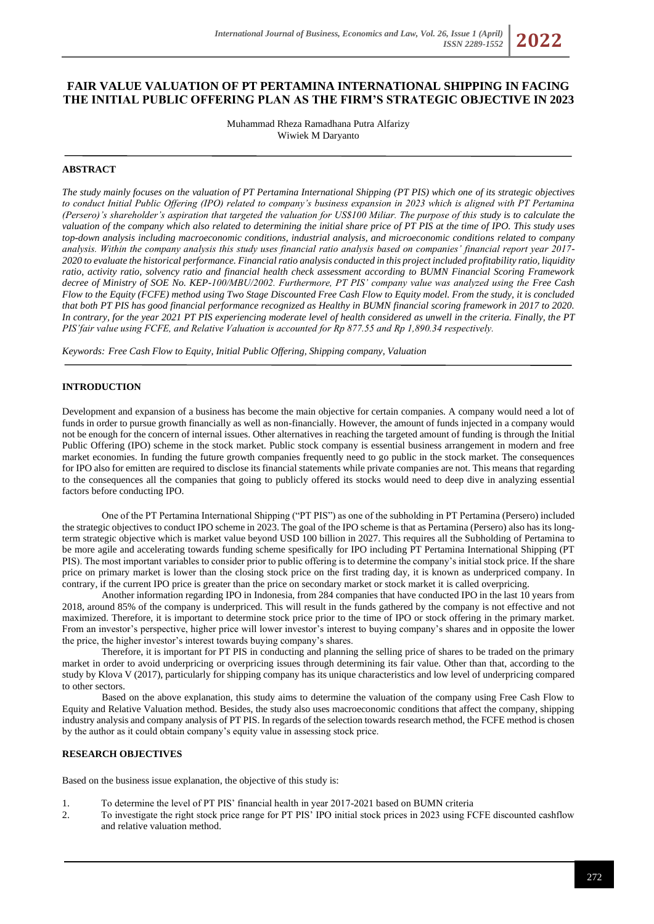# **FAIR VALUE VALUATION OF PT PERTAMINA INTERNATIONAL SHIPPING IN FACING THE INITIAL PUBLIC OFFERING PLAN AS THE FIRM'S STRATEGIC OBJECTIVE IN 2023**

Muhammad Rheza Ramadhana Putra Alfarizy Wiwiek M Daryanto

### **ABSTRACT**

*The study mainly focuses on the valuation of PT Pertamina International Shipping (PT PIS) which one of its strategic objectives to conduct Initial Public Offering (IPO) related to company's business expansion in 2023 which is aligned with PT Pertamina (Persero)'s shareholder's aspiration that targeted the valuation for US\$100 Miliar. The purpose of this study is to calculate the valuation of the company which also related to determining the initial share price of PT PIS at the time of IPO. This study uses top-down analysis including macroeconomic conditions, industrial analysis, and microeconomic conditions related to company analysis. Within the company analysis this study uses financial ratio analysis based on companies' financial report year 2017- 2020 to evaluate the historical performance. Financial ratio analysis conducted in this project included profitability ratio, liquidity ratio, activity ratio, solvency ratio and financial health check assessment according to BUMN Financial Scoring Framework decree of Ministry of SOE No. KEP-100/MBU/2002. Furthermore, PT PIS' company value was analyzed using the Free Cash Flow to the Equity (FCFE) method using Two Stage Discounted Free Cash Flow to Equity model. From the study, it is concluded that both PT PIS has good financial performance recognized as Healthy in BUMN financial scoring framework in 2017 to 2020. In contrary, for the year 2021 PT PIS experiencing moderate level of health considered as unwell in the criteria. Finally, the PT PIS'fair value using FCFE, and Relative Valuation is accounted for Rp 877.55 and Rp 1,890.34 respectively.*

*Keywords: Free Cash Flow to Equity, Initial Public Offering, Shipping company, Valuation*

#### **INTRODUCTION**

Development and expansion of a business has become the main objective for certain companies. A company would need a lot of funds in order to pursue growth financially as well as non-financially. However, the amount of funds injected in a company would not be enough for the concern of internal issues. Other alternatives in reaching the targeted amount of funding is through the Initial Public Offering (IPO) scheme in the stock market. Public stock company is essential business arrangement in modern and free market economies. In funding the future growth companies frequently need to go public in the stock market. The consequences for IPO also for emitten are required to disclose its financial statements while private companies are not. This means that regarding to the consequences all the companies that going to publicly offered its stocks would need to deep dive in analyzing essential factors before conducting IPO.

One of the PT Pertamina International Shipping ("PT PIS") as one of the subholding in PT Pertamina (Persero) included the strategic objectives to conduct IPO scheme in 2023. The goal of the IPO scheme is that as Pertamina (Persero) also has its longterm strategic objective which is market value beyond USD 100 billion in 2027. This requires all the Subholding of Pertamina to be more agile and accelerating towards funding scheme spesifically for IPO including PT Pertamina International Shipping (PT PIS). The most important variables to consider prior to public offering is to determine the company's initial stock price. If the share price on primary market is lower than the closing stock price on the first trading day, it is known as underpriced company. In contrary, if the current IPO price is greater than the price on secondary market or stock market it is called overpricing.

Another information regarding IPO in Indonesia, from 284 companies that have conducted IPO in the last 10 years from 2018, around 85% of the company is underpriced. This will result in the funds gathered by the company is not effective and not maximized. Therefore, it is important to determine stock price prior to the time of IPO or stock offering in the primary market. From an investor's perspective, higher price will lower investor's interest to buying company's shares and in opposite the lower the price, the higher investor's interest towards buying company's shares.

Therefore, it is important for PT PIS in conducting and planning the selling price of shares to be traded on the primary market in order to avoid underpricing or overpricing issues through determining its fair value. Other than that, according to the study by Klova V (2017), particularly for shipping company has its unique characteristics and low level of underpricing compared to other sectors.

Based on the above explanation, this study aims to determine the valuation of the company using Free Cash Flow to Equity and Relative Valuation method. Besides, the study also uses macroeconomic conditions that affect the company, shipping industry analysis and company analysis of PT PIS. In regards of the selection towards research method, the FCFE method is chosen by the author as it could obtain company's equity value in assessing stock price.

### **RESEARCH OBJECTIVES**

Based on the business issue explanation, the objective of this study is:

- 1. To determine the level of PT PIS' financial health in year 2017-2021 based on BUMN criteria
- 2. To investigate the right stock price range for PT PIS' IPO initial stock prices in 2023 using FCFE discounted cashflow and relative valuation method.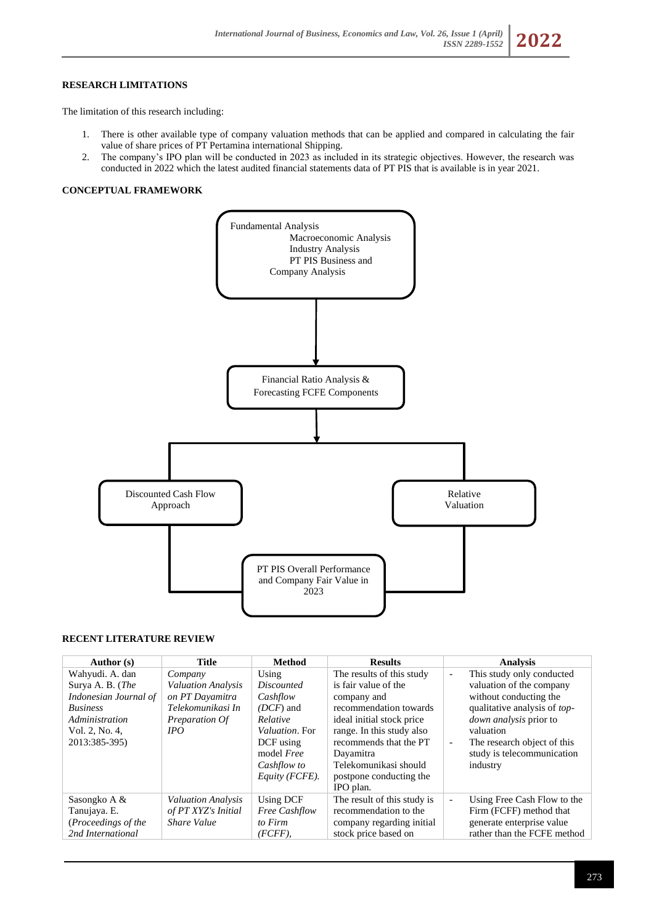# **RESEARCH LIMITATIONS**

The limitation of this research including:

- 1. There is other available type of company valuation methods that can be applied and compared in calculating the fair value of share prices of PT Pertamina international Shipping.
- 2. The company's IPO plan will be conducted in 2023 as included in its strategic objectives. However, the research was conducted in 2022 which the latest audited financial statements data of PT PIS that is available is in year 2021.

#### **CONCEPTUAL FRAMEWORK**



### **RECENT LITERATURE REVIEW**

| Author (s)            | <b>Title</b>              | <b>Method</b>          | <b>Results</b>              | <b>Analysis</b>                                         |
|-----------------------|---------------------------|------------------------|-----------------------------|---------------------------------------------------------|
| Wahyudi. A. dan       | Company                   | Using                  | The results of this study   | This study only conducted<br>$\overline{\phantom{a}}$   |
| Surya A. B. (The      | <b>Valuation Analysis</b> | <i>Discounted</i>      | is fair value of the        | valuation of the company                                |
| Indonesian Journal of | on PT Dayamitra           | Cashflow               | company and                 | without conducting the                                  |
| <b>Business</b>       | Telekomunikasi In         | $(DCF)$ and            | recommendation towards      | qualitative analysis of top-                            |
| Administration        | Preparation Of            | Relative               | ideal initial stock price   | down analysis prior to                                  |
| Vol. 2, No. 4,        | IPO.                      | <i>Valuation</i> , For | range. In this study also   | valuation                                               |
| 2013:385-395)         |                           | DCF using              | recommends that the PT      | The research object of this<br>$\blacksquare$           |
|                       |                           | model <i>Free</i>      | Dayamitra                   | study is telecommunication                              |
|                       |                           | Cashflow to            | Telekomunikasi should       | industry                                                |
|                       |                           | Equity (FCFE).         | postpone conducting the     |                                                         |
|                       |                           |                        | IPO plan.                   |                                                         |
| Sasongko A &          | Valuation Analysis        | Using DCF              | The result of this study is | Using Free Cash Flow to the<br>$\overline{\phantom{a}}$ |
| Tanujaya. E.          | of PT XYZ's Initial       | <b>Free Cashflow</b>   | recommendation to the       | Firm (FCFF) method that                                 |
| (Proceedings of the   | <b>Share Value</b>        | to Firm                | company regarding initial   | generate enterprise value                               |
| 2nd International     |                           | $(FCFF)$ ,             | stock price based on        | rather than the FCFE method                             |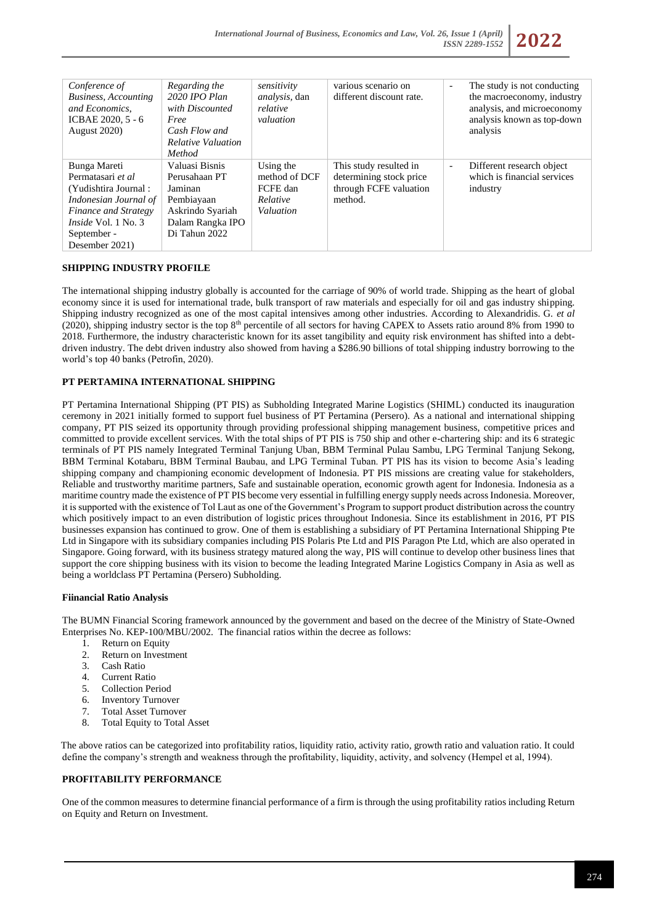

| Conference of<br><b>Business, Accounting</b><br>and Economics.<br>ICBAE 2020, 5 - 6<br><b>August 2020</b> )                                                                          | Regarding the<br>2020 IPO Plan<br>with Discounted<br>Free<br>Cash Flow and<br><b>Relative Valuation</b><br>Method | sensitivity<br><i>analysis</i> , dan<br>relative<br>valuation   | various scenario on<br>different discount rate.                                        | The study is not conducting<br>$\overline{\phantom{a}}$<br>the macroeconomy, industry<br>analysis, and microeconomy<br>analysis known as top-down<br>analysis |
|--------------------------------------------------------------------------------------------------------------------------------------------------------------------------------------|-------------------------------------------------------------------------------------------------------------------|-----------------------------------------------------------------|----------------------------------------------------------------------------------------|---------------------------------------------------------------------------------------------------------------------------------------------------------------|
| Bunga Mareti<br>Permatasari et al<br>(Yudishtira Journal:<br>Indonesian Journal of<br><b>Finance and Strategy</b><br><i>Inside</i> Vol. $1$ No. $3$<br>September -<br>Desember 2021) | Valuasi Bisnis<br>Perusahaan PT<br>Jaminan<br>Pembiayaan<br>Askrindo Syariah<br>Dalam Rangka IPO<br>Di Tahun 2022 | Using the<br>method of DCF<br>FCFE dan<br>Relative<br>Valuation | This study resulted in<br>determining stock price<br>through FCFE valuation<br>method. | Different research object<br>$\overline{\phantom{a}}$<br>which is financial services<br>industry                                                              |

# **SHIPPING INDUSTRY PROFILE**

The international shipping industry globally is accounted for the carriage of 90% of world trade. Shipping as the heart of global economy since it is used for international trade, bulk transport of raw materials and especially for oil and gas industry shipping. Shipping industry recognized as one of the most capital intensives among other industries. According to Alexandridis. G. *et al*  (2020), shipping industry sector is the top  $8<sup>th</sup>$  percentile of all sectors for having CAPEX to Assets ratio around 8% from 1990 to 2018. Furthermore, the industry characteristic known for its asset tangibility and equity risk environment has shifted into a debtdriven industry. The debt driven industry also showed from having a \$286.90 billions of total shipping industry borrowing to the world's top 40 banks (Petrofin, 2020).

# **PT PERTAMINA INTERNATIONAL SHIPPING**

PT Pertamina International Shipping (PT PIS) as Subholding Integrated Marine Logistics (SHIML) conducted its inauguration ceremony in 2021 initially formed to support fuel business of PT Pertamina (Persero). As a national and international shipping company, PT PIS seized its opportunity through providing professional shipping management business, competitive prices and committed to provide excellent services. With the total ships of PT PIS is 750 ship and other e-chartering ship: and its 6 strategic terminals of PT PIS namely Integrated Terminal Tanjung Uban, BBM Terminal Pulau Sambu, LPG Terminal Tanjung Sekong, BBM Terminal Kotabaru, BBM Terminal Baubau, and LPG Terminal Tuban. PT PIS has its vision to become Asia's leading shipping company and championing economic development of Indonesia. PT PIS missions are creating value for stakeholders, Reliable and trustworthy maritime partners, Safe and sustainable operation, economic growth agent for Indonesia. Indonesia as a maritime country made the existence of PT PIS become very essential in fulfilling energy supply needs across Indonesia. Moreover, it is supported with the existence of Tol Laut as one of the Government's Program to support product distribution across the country which positively impact to an even distribution of logistic prices throughout Indonesia. Since its establishment in 2016, PT PIS businesses expansion has continued to grow. One of them is establishing a subsidiary of PT Pertamina International Shipping Pte Ltd in Singapore with its subsidiary companies including PIS Polaris Pte Ltd and PIS Paragon Pte Ltd, which are also operated in Singapore. Going forward, with its business strategy matured along the way, PIS will continue to develop other business lines that support the core shipping business with its vision to become the leading Integrated Marine Logistics Company in Asia as well as being a worldclass PT Pertamina (Persero) Subholding.

### **Fiinancial Ratio Analysis**

The BUMN Financial Scoring framework announced by the government and based on the decree of the Ministry of State-Owned Enterprises No. KEP-100/MBU/2002. The financial ratios within the decree as follows:

- 
- 1. Return on Equity<br>2. Return on Investr 2. Return on Investment<br>3. Cash Ratio
- Cash Ratio
- 4. Current Ratio
- 5. Collection Period
- 6. Inventory Turnover
- 7. Total Asset Turnover
- 8. Total Equity to Total Asset

The above ratios can be categorized into profitability ratios, liquidity ratio, activity ratio, growth ratio and valuation ratio. It could define the company's strength and weakness through the profitability, liquidity, activity, and solvency (Hempel et al, 1994).

## **PROFITABILITY PERFORMANCE**

One of the common measures to determine financial performance of a firm is through the using profitability ratios including Return on Equity and Return on Investment.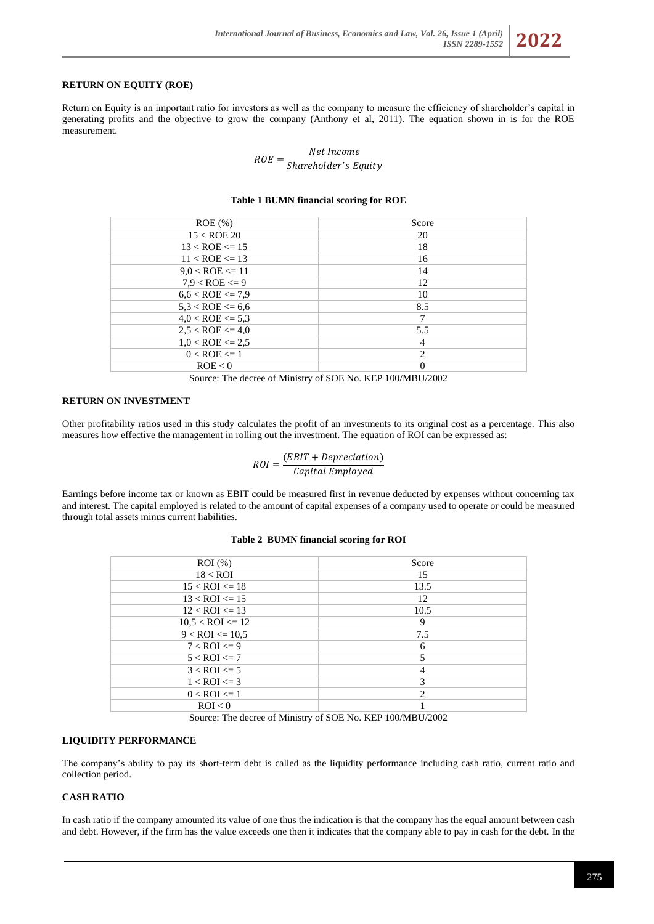## **RETURN ON EQUITY (ROE)**

Return on Equity is an important ratio for investors as well as the company to measure the efficiency of shareholder's capital in generating profits and the objective to grow the company (Anthony et al, 2011). The equation shown in is for the ROE measurement.

> $ROE = \frac{1}{Shareholder's Equity}$ Net Income

#### **Table 1 BUMN financial scoring for ROE**

| $ROE$ (%)               | Score          |
|-------------------------|----------------|
| $15 <$ ROE 20           | 20             |
| $13 < ROE \le 15$       | 18             |
| $11 < ROE \leq 13$      | 16             |
| $9.0 <$ ROE $\leq 11$   | 14             |
| $7.9 <$ ROE $\leq 9$    | 12             |
| $6.6 <$ ROE $\leq$ 7.9  | 10             |
| $5.3 <$ ROE $\leq 6.6$  | 8.5            |
| $4.0 <$ ROE $\leq 5.3$  | 7              |
| $2.5 <$ ROE $\leq 4.0$  | 5.5            |
| $1.0 <$ ROE $\leq 2.5$  | $\overline{4}$ |
| $0 < \text{ROE} \leq 1$ | 2              |
| ROE < 0                 | $\Omega$       |
|                         |                |

Source: The decree of Ministry of SOE No. KEP 100/MBU/2002

#### **RETURN ON INVESTMENT**

Other profitability ratios used in this study calculates the profit of an investments to its original cost as a percentage. This also measures how effective the management in rolling out the investment. The equation of ROI can be expressed as:

$$
ROI = \frac{(EBIT + Depreciation)}{Capital \, Employed}
$$

Earnings before income tax or known as EBIT could be measured first in revenue deducted by expenses without concerning tax and interest. The capital employed is related to the amount of capital expenses of a company used to operate or could be measured through total assets minus current liabilities.

| $ROI$ (%)              | Score          |
|------------------------|----------------|
| $18 <$ ROI             | 15             |
| $15 <$ ROI $\leq$ 18   | 13.5           |
| $13 <$ ROI $\le$ 15    | 12             |
| $12 <$ ROI $\leq$ 13   | 10.5           |
| $10,5 <$ ROI $\leq 12$ | 9              |
| $9 <$ ROI $\leq 10.5$  | 7.5            |
| $7 <$ ROI $\leq 9$     | 6              |
| $5 <$ ROI $\le$ =7     | 5              |
| $3 <$ ROI $\leq 5$     | 4              |
| $1 <$ ROI $\leq$ =3    | 3              |
| $0 <$ ROI $\leq 1$     | $\overline{c}$ |
| ROI < 0                |                |
|                        |                |

### **Table 2 BUMN financial scoring for ROI**

Source: The decree of Ministry of SOE No. KEP 100/MBU/2002

## **LIQUIDITY PERFORMANCE**

The company's ability to pay its short-term debt is called as the liquidity performance including cash ratio, current ratio and collection period.

## **CASH RATIO**

In cash ratio if the company amounted its value of one thus the indication is that the company has the equal amount between cash and debt. However, if the firm has the value exceeds one then it indicates that the company able to pay in cash for the debt. In the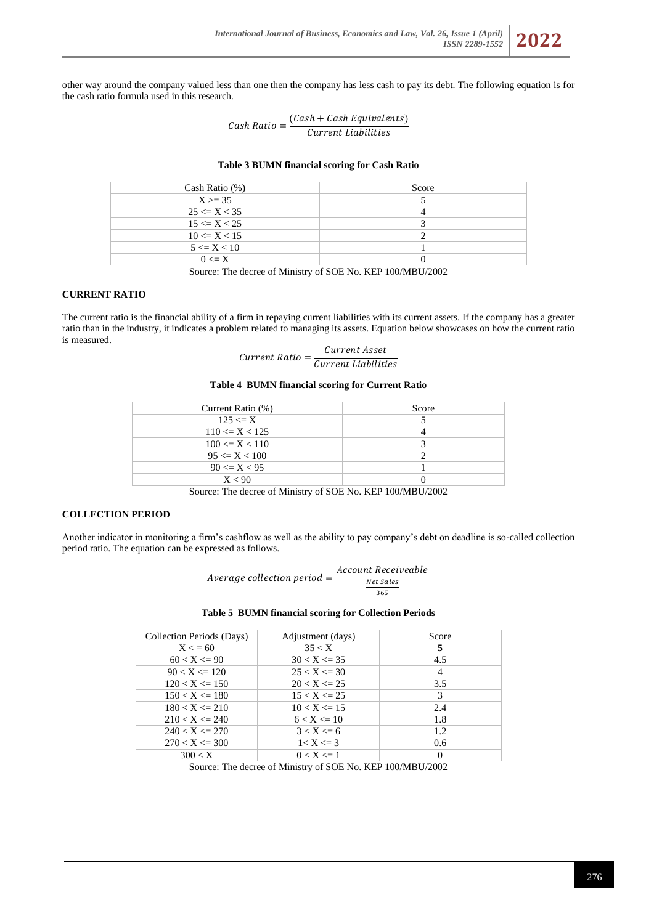other way around the company valued less than one then the company has less cash to pay its debt. The following equation is for the cash ratio formula used in this research.

> $Cash Ratio = \frac{(Cash + Cash Equation{Equivalents})}{Gummation{HinkilisticS}}$ Current Liabilities

#### **Table 3 BUMN financial scoring for Cash Ratio**

| Cash Ratio $(\%)$ | Score |
|-------------------|-------|
| $X \ge 35$        |       |
| $25 \le X \le 35$ |       |
| $15 \le X \le 25$ |       |
| $10 \le X < 15$   |       |
| $5 \le X \le 10$  |       |
| $0 \leq X$        |       |
|                   |       |

Source: The decree of Ministry of SOE No. KEP 100/MBU/2002

# **CURRENT RATIO**

The current ratio is the financial ability of a firm in repaying current liabilities with its current assets. If the company has a greater ratio than in the industry, it indicates a problem related to managing its assets. Equation below showcases on how the current ratio is measured.

| $Current Ratio =$ | Current Asset       |
|-------------------|---------------------|
|                   | Current Liabilities |

### **Table 4 BUMN financial scoring for Current Ratio**

| Current Ratio (%)   | Score |
|---------------------|-------|
| $125 \le X$         |       |
| $110 \le X < 125$   |       |
| $100 \le X \le 110$ |       |
| $95 \le X \le 100$  |       |
| $90 \le X < 95$     |       |
| X < 90              |       |

Source: The decree of Ministry of SOE No. KEP 100/MBU/2002

#### **COLLECTION PERIOD**

Another indicator in monitoring a firm's cashflow as well as the ability to pay company's debt on deadline is so-called collection period ratio. The equation can be expressed as follows.

$$
Average collection period = \frac{Account Receiveable}{\frac{Net Sales}{365}}
$$

**Table 5 BUMN financial scoring for Collection Periods**

| Collection Periods (Days) | Adjustment (days) | Score |
|---------------------------|-------------------|-------|
| $X \le 60$                | 35 < X            | 5     |
| $60 < X \leq 90$          | $30 < X \leq 35$  | 4.5   |
| $90 < X \le 120$          | $25 < X \leq 30$  | 4     |
| $120 < X \le 150$         | $20 < X \le 25$   | 3.5   |
| $150 < X \le 180$         | $15 < X \leq 25$  | 3     |
| $180 < X \le 210$         | $10 < X \leq 15$  | 2.4   |
| $210 < X \le 240$         | $6 < X \le 10$    | 1.8   |
| $240 < X \le 270$         | $3 < X \le 6$     | 1.2   |
| $270 < X \le 300$         | $1 < X \leq 3$    | 0.6   |
| 300 < X                   | $0 < X \leq 1$    | 0     |

Source: The decree of Ministry of SOE No. KEP 100/MBU/2002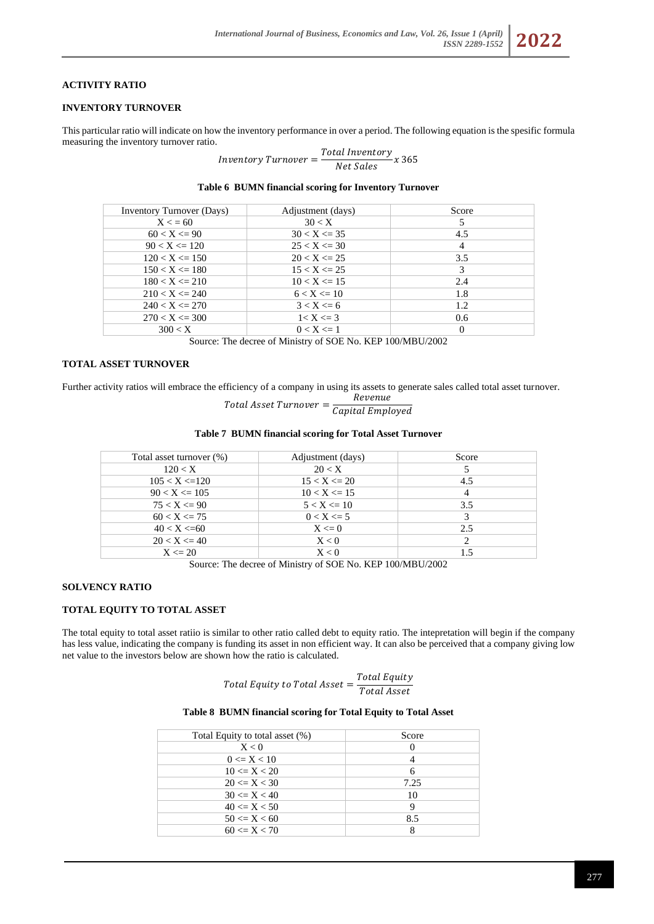## **ACTIVITY RATIO**

### **INVENTORY TURNOVER**

This particular ratio will indicate on how the inventory performance in over a period. The following equation is the spesific formula measuring the inventory turnover ratio.

 $\begin{aligned} \textit{Inventory Turnover} = \frac{\textit{Total Inventory}}{\textit{Net Sales}} \, x \, 365 \end{aligned}$ 

| <b>Inventory Turnover (Days)</b> | Adjustment (days) | Score             |
|----------------------------------|-------------------|-------------------|
| $X \le 60$                       | 30 < X            |                   |
| $60 < X \leq 90$                 | $30 < X \le 35$   | 4.5               |
| $90 < X \leq 120$                | $25 < X \leq 30$  | 4                 |
| $120 < X \le 150$                | $20 < X \le 25$   | 3.5               |
| $150 < X \leq 180$               | $15 < X \leq 25$  | 3                 |
| $180 < X \le 210$                | $10 < X \leq 15$  | 2.4               |
| $210 < X \le 240$                | $6 < X \le 10$    | 1.8               |
| $240 < X \le 270$                | $3 < X \leq 6$    | 1.2               |
| $270 < X \le 300$                | $1 < X \leq 3$    | 0.6               |
| 300 < X                          | $0 < X \leq 1$    | $\mathbf{\Omega}$ |

**Table 6 BUMN financial scoring for Inventory Turnover**

Source: The decree of Ministry of SOE No. KEP 100/MBU/2002

### **TOTAL ASSET TURNOVER**

Further activity ratios will embrace the efficiency of a company in using its assets to generate sales called total asset turnover.

 $Total Asset Turnover = \frac{Revenue}{Gmitel Fund}$ Capital Employed

| Total asset turnover (%) | Adjustment (days) | Score |
|--------------------------|-------------------|-------|
| 120 < X                  | 20 < X            |       |
| $105 < X \leq 120$       | $15 < X \leq 20$  | 4.5   |
| $90 < X \le 105$         | $10 < X \leq 15$  |       |
| $75 < X \leq 90$         | $5 < X \le 10$    | 3.5   |
| $60 < X \le 75$          | $0 < X \le 5$     |       |
| 40 < X < 60              | $X \le 0$         | 2.5   |
| $20 < X \leq 40$         | X < 0             |       |
| $X \le 20$               | X < 0             |       |

Source: The decree of Ministry of SOE No. KEP 100/MBU/2002

### **SOLVENCY RATIO**

### **TOTAL EQUITY TO TOTAL ASSET**

The total equity to total asset ratiio is similar to other ratio called debt to equity ratio. The intepretation will begin if the company has less value, indicating the company is funding its asset in non efficient way. It can also be perceived that a company giving low net value to the investors below are shown how the ratio is calculated.

> Total Equity to Total Asset  $=\frac{Total\ Equity}{Total\ System}$ Total Asset

### **Table 8 BUMN financial scoring for Total Equity to Total Asset**

| Total Equity to total asset (%) | Score |
|---------------------------------|-------|
| X < 0                           |       |
| $0 \le X < 10$                  |       |
| $10 \le X \le 20$               |       |
| $20 \le X \le 30$               | 7.25  |
| $30 \le X \le 40$               | 10    |
| $40 \le X \le 50$               |       |
| $50 \le X \le 60$               | 8.5   |
| $60 \le X \le 70$               |       |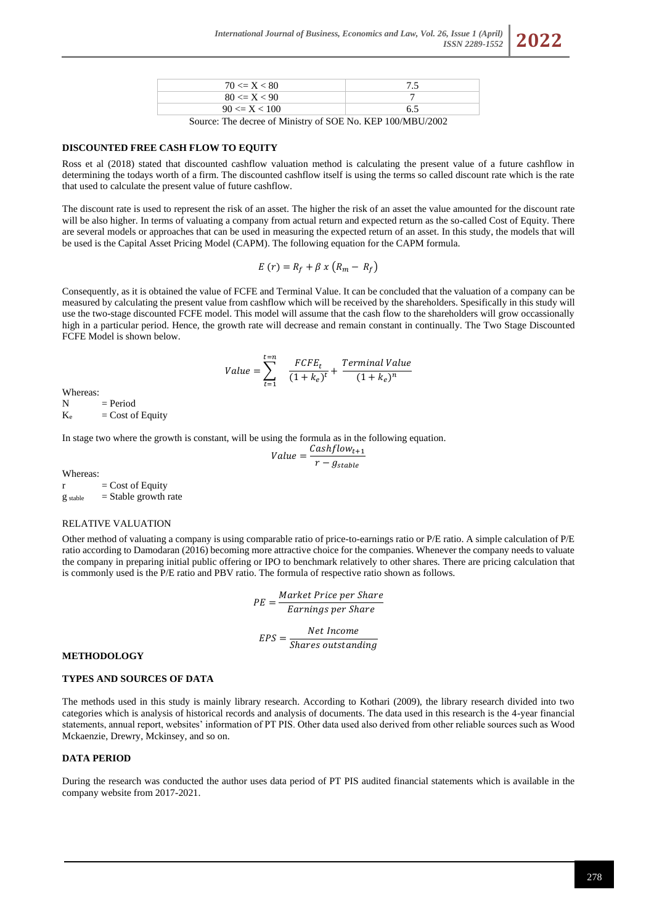

Source: The decree of Ministry of SOE No. KEP 100/MBU/2002

#### **DISCOUNTED FREE CASH FLOW TO EQUITY**

Ross et al (2018) stated that discounted cashflow valuation method is calculating the present value of a future cashflow in determining the todays worth of a firm. The discounted cashflow itself is using the terms so called discount rate which is the rate that used to calculate the present value of future cashflow.

The discount rate is used to represent the risk of an asset. The higher the risk of an asset the value amounted for the discount rate will be also higher. In terms of valuating a company from actual return and expected return as the so-called Cost of Equity. There are several models or approaches that can be used in measuring the expected return of an asset. In this study, the models that will be used is the Capital Asset Pricing Model (CAPM). The following equation for the CAPM formula.

$$
E(r) = R_f + \beta x (R_m - R_f)
$$

Consequently, as it is obtained the value of FCFE and Terminal Value. It can be concluded that the valuation of a company can be measured by calculating the present value from cashflow which will be received by the shareholders. Spesifically in this study will use the two-stage discounted FCFE model. This model will assume that the cash flow to the shareholders will grow occassionally high in a particular period. Hence, the growth rate will decrease and remain constant in continually. The Two Stage Discounted FCFE Model is shown below.

$$
Value = \sum_{t=1}^{t=n} \frac{FCFE_t}{(1+k_e)^t} + \frac{Terminal Value}{(1+k_e)^n}
$$

Whereas:

 $N = Period$ 

 $K_e$  = Cost of Equity

In stage two where the growth is constant, will be using the formula as in the following equation.

$$
Value = \frac{Cashflow_{t+1}}{r - g_{stable}}
$$

Whereas:

 $r = \text{Cost of Equity}$  $g<sub>stable</sub>$  = Stable growth rate

#### RELATIVE VALUATION

Other method of valuating a company is using comparable ratio of price-to-earnings ratio or P/E ratio. A simple calculation of P/E ratio according to Damodaran (2016) becoming more attractive choice for the companies. Whenever the company needs to valuate the company in preparing initial public offering or IPO to benchmark relatively to other shares. There are pricing calculation that is commonly used is the P/E ratio and PBV ratio. The formula of respective ratio shown as follows.

> $PE = \frac{Market\ Price\ per\Share}$ Earnings per Share

$$
EPS = \frac{Net\ Income}{Shares\ outstanding}
$$

### **METHODOLOGY**

## **TYPES AND SOURCES OF DATA**

The methods used in this study is mainly library research. According to Kothari (2009), the library research divided into two categories which is analysis of historical records and analysis of documents. The data used in this research is the 4-year financial statements, annual report, websites' information of PT PIS. Other data used also derived from other reliable sources such as Wood Mckaenzie, Drewry, Mckinsey, and so on.

#### **DATA PERIOD**

During the research was conducted the author uses data period of PT PIS audited financial statements which is available in the company website from 2017-2021.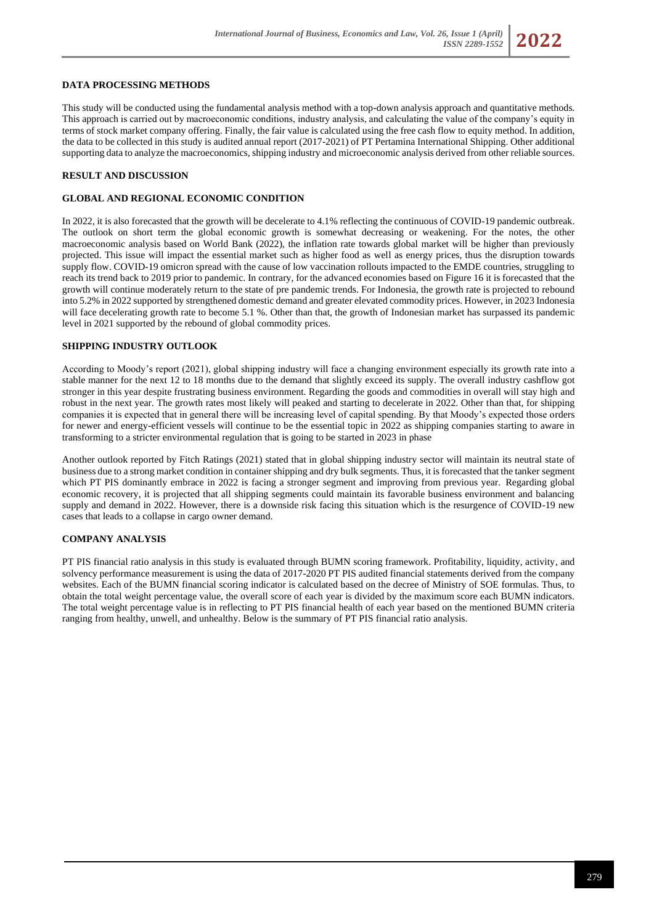## **DATA PROCESSING METHODS**

This study will be conducted using the fundamental analysis method with a top-down analysis approach and quantitative methods. This approach is carried out by macroeconomic conditions, industry analysis, and calculating the value of the company's equity in terms of stock market company offering. Finally, the fair value is calculated using the free cash flow to equity method. In addition, the data to be collected in this study is audited annual report (2017-2021) of PT Pertamina International Shipping. Other additional supporting data to analyze the macroeconomics, shipping industry and microeconomic analysis derived from other reliable sources.

#### **RESULT AND DISCUSSION**

## **GLOBAL AND REGIONAL ECONOMIC CONDITION**

In 2022, it is also forecasted that the growth will be decelerate to 4.1% reflecting the continuous of COVID-19 pandemic outbreak. The outlook on short term the global economic growth is somewhat decreasing or weakening. For the notes, the other macroeconomic analysis based on World Bank (2022), the inflation rate towards global market will be higher than previously projected. This issue will impact the essential market such as higher food as well as energy prices, thus the disruption towards supply flow. COVID-19 omicron spread with the cause of low vaccination rollouts impacted to the EMDE countries, struggling to reach its trend back to 2019 prior to pandemic. In contrary, for the advanced economies based on Figure 16 it is forecasted that the growth will continue moderately return to the state of pre pandemic trends. For Indonesia, the growth rate is projected to rebound into 5.2% in 2022 supported by strengthened domestic demand and greater elevated commodity prices. However, in 2023 Indonesia will face decelerating growth rate to become 5.1 %. Other than that, the growth of Indonesian market has surpassed its pandemic level in 2021 supported by the rebound of global commodity prices.

### **SHIPPING INDUSTRY OUTLOOK**

According to Moody's report (2021), global shipping industry will face a changing environment especially its growth rate into a stable manner for the next 12 to 18 months due to the demand that slightly exceed its supply. The overall industry cashflow got stronger in this year despite frustrating business environment. Regarding the goods and commodities in overall will stay high and robust in the next year. The growth rates most likely will peaked and starting to decelerate in 2022. Other than that, for shipping companies it is expected that in general there will be increasing level of capital spending. By that Moody's expected those orders for newer and energy-efficient vessels will continue to be the essential topic in 2022 as shipping companies starting to aware in transforming to a stricter environmental regulation that is going to be started in 2023 in phase

Another outlook reported by Fitch Ratings (2021) stated that in global shipping industry sector will maintain its neutral state of business due to a strong market condition in container shipping and dry bulk segments. Thus, it is forecasted that the tanker segment which PT PIS dominantly embrace in 2022 is facing a stronger segment and improving from previous year. Regarding global economic recovery, it is projected that all shipping segments could maintain its favorable business environment and balancing supply and demand in 2022. However, there is a downside risk facing this situation which is the resurgence of COVID-19 new cases that leads to a collapse in cargo owner demand.

### **COMPANY ANALYSIS**

PT PIS financial ratio analysis in this study is evaluated through BUMN scoring framework. Profitability, liquidity, activity, and solvency performance measurement is using the data of 2017-2020 PT PIS audited financial statements derived from the company websites. Each of the BUMN financial scoring indicator is calculated based on the decree of Ministry of SOE formulas. Thus, to obtain the total weight percentage value, the overall score of each year is divided by the maximum score each BUMN indicators. The total weight percentage value is in reflecting to PT PIS financial health of each year based on the mentioned BUMN criteria ranging from healthy, unwell, and unhealthy. Below is the summary of PT PIS financial ratio analysis.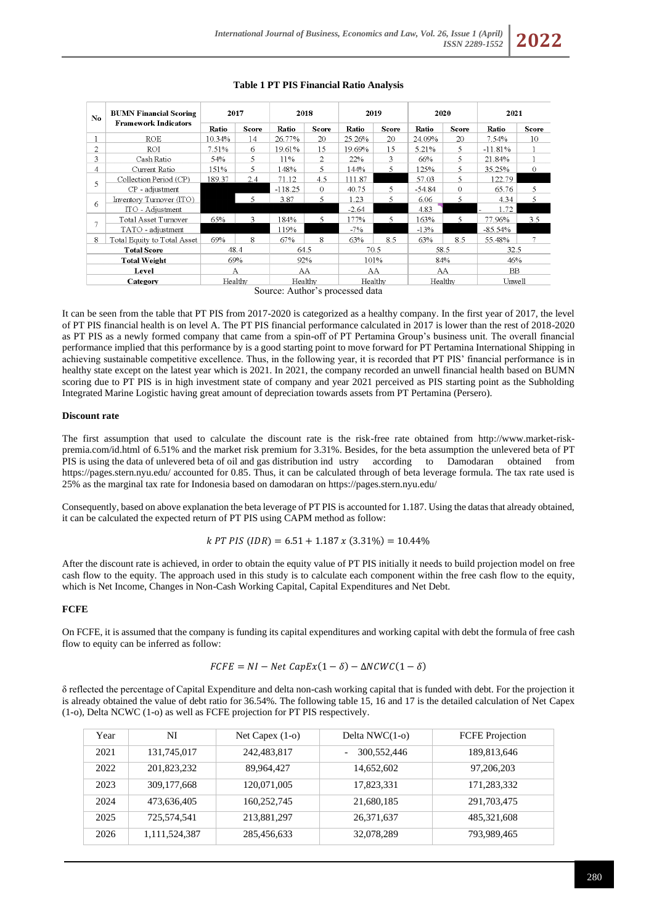| $\mathbf{N}\mathbf{o}$ | <b>BUMN Financial Scoring</b><br><b>Framework Indicators</b> | 2017    |       | 2018      |          | 2019    |              | 2020     |              | 2021      |          |
|------------------------|--------------------------------------------------------------|---------|-------|-----------|----------|---------|--------------|----------|--------------|-----------|----------|
|                        |                                                              | Ratio   | Score | Ratio     | Score    | Ratio   | <b>Score</b> | Ratio    | <b>Score</b> | Ratio     | Score    |
| 1                      | <b>ROE</b>                                                   | 10.34%  | 14    | 26.77%    | 20       | 25.26%  | 20           | 24.09%   | 20           | 7.54%     | 10       |
| 2                      | ROI                                                          | 7.51%   | 6     | 19.61%    | 15       | 19.69%  | 15           | 5.21%    | 5.           | $-11.81%$ |          |
| 3                      | Cash Ratio                                                   | 54%     | 5     | 11%       | 2        | 22%     | 3            | 66%      | 5            | 21.84%    |          |
| 4                      | Current Ratio                                                | 151%    | 5     | 148%      | 5        | 144%    | 5            | 125%     | 5            | 35.25%    | $\Omega$ |
| 5.                     | Collection Period (CP)                                       | 189.37  | 2.4   | 71.12     | 4.5      | 111.87  |              | 57.03    | 5            | 122.79    |          |
|                        | CP - adjustment                                              |         |       | $-118.25$ | $\Omega$ | 40.75   | 5.           | $-54.84$ | $\Omega$     | 65.76     | 5        |
| 6                      | Inventory Turnover (ITO)                                     |         | 5     | 3.87      | 5        | 1.23    | 5.           | 6.06     | 5.           | 4.34      | 5        |
|                        | ITO - Adjustment                                             |         |       |           |          | $-2.64$ |              | 4.83     |              | 1.72      |          |
|                        | Total Asset Turnover                                         | 65%     | 3     | 184%      | 5        | 177%    | 5            | 163%     | 5.           | 77.96%    | 3.5      |
|                        | TATO - adjustment                                            |         |       | 119%      |          | $-7%$   |              | $-13%$   |              | $-85.54%$ |          |
| 8                      | Total Equity to Total Asset                                  | 69%     | 8     | 67%       | 8        | 63%     | 8.5          | 63%      | 8.5          | 55.48%    |          |
| <b>Total Score</b>     |                                                              | 48.4    |       | 64.5      |          | 70.5    |              | 58.5     |              | 32.5      |          |
| <b>Total Weight</b>    |                                                              | 69%     |       | 92%       |          | 101%    |              | 84%      |              | 46%       |          |
| Level                  |                                                              | A       |       | AA        |          | AA      |              | AA       |              | BB        |          |
|                        | Category                                                     | Healthy |       | Healthy   |          | Healthy |              | Healthy  |              | Unwell    |          |
|                        |                                                              |         |       |           |          |         |              |          |              |           |          |

#### **Table 1 PT PIS Financial Ratio Analysis**

Source: Author's processed data

It can be seen from the table that PT PIS from 2017-2020 is categorized as a healthy company. In the first year of 2017, the level of PT PIS financial health is on level A. The PT PIS financial performance calculated in 2017 is lower than the rest of 2018-2020 as PT PIS as a newly formed company that came from a spin-off of PT Pertamina Group's business unit. The overall financial performance implied that this performance by is a good starting point to move forward for PT Pertamina International Shipping in achieving sustainable competitive excellence. Thus, in the following year, it is recorded that PT PIS' financial performance is in healthy state except on the latest year which is 2021. In 2021, the company recorded an unwell financial health based on BUMN scoring due to PT PIS is in high investment state of company and year 2021 perceived as PIS starting point as the Subholding Integrated Marine Logistic having great amount of depreciation towards assets from PT Pertamina (Persero).

### **Discount rate**

The first assumption that used to calculate the discount rate is the risk-free rate obtained from [http://www.market-risk](http://www.market-risk-premia.com/id.html)[premia.com/id.html](http://www.market-risk-premia.com/id.html) of 6.51% and the market risk premium for 3.31%. Besides, for the beta assumption the unlevered beta of PT PIS is using the data of unlevered beta of oil and gas distribution ind ustry according to Damodaran obtained from [https://pages.stern.nyu.edu/ accounted for 0.85.](https://pages.stern.nyu.edu/~adamodar/New_Home_Page/datafile/Betas.html%20accounted%20for%200.85) Thus, it can be calculated through of beta leverage formula. The tax rate used is 25% as the marginal tax rate for Indonesia based on damodaran on<https://pages.stern.nyu.edu/>

Consequently, based on above explanation the beta leverage of PT PIS is accounted for 1.187. Using the datas that already obtained, it can be calculated the expected return of PT PIS using CAPM method as follow:

$$
kPT PIS (IDR) = 6.51 + 1.187 x (3.31%) = 10.44%
$$

After the discount rate is achieved, in order to obtain the equity value of PT PIS initially it needs to build projection model on free cash flow to the equity. The approach used in this study is to calculate each component within the free cash flow to the equity, which is Net Income, Changes in Non-Cash Working Capital, Capital Expenditures and Net Debt.

### **FCFE**

On FCFE, it is assumed that the company is funding its capital expenditures and working capital with debt the formula of free cash flow to equity can be inferred as follow:

$$
FCFE = NI - Net CapEx(1 - \delta) - \Delta N CWC(1 - \delta)
$$

δ reflected the percentage of Capital Expenditure and delta non-cash working capital that is funded with debt. For the projection it is already obtained the value of debt ratio for 36.54%. The following table 15, 16 and 17 is the detailed calculation of Net Capex (1-o), Delta NCWC (1-o) as well as FCFE projection for PT PIS respectively.

| Year | NI            | Net Capex $(1-0)$ | Delta $NWC(1-0)$ | <b>FCFE</b> Projection |
|------|---------------|-------------------|------------------|------------------------|
| 2021 | 131,745,017   | 242,483,817       | 300,552,446      | 189,813,646            |
| 2022 | 201,823,232   | 89,964,427        | 14,652,602       | 97, 206, 203           |
| 2023 | 309, 177, 668 | 120,071,005       | 17,823,331       | 171,283,332            |
| 2024 | 473,636,405   | 160,252,745       | 21,680,185       | 291,703,475            |
| 2025 | 725,574,541   | 213,881,297       | 26, 371, 637     | 485,321,608            |
| 2026 | 1,111,524,387 | 285,456,633       | 32,078,289       | 793,989,465            |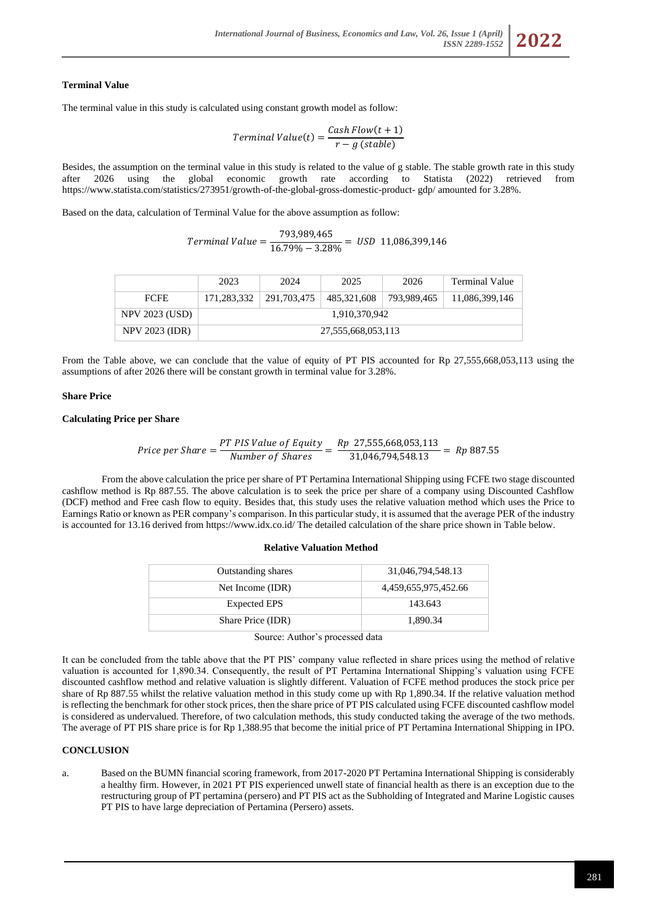### **Terminal Value**

The terminal value in this study is calculated using constant growth model as follow:

*Terminal Value(t)* = 
$$
\frac{Cash Flow(t + 1)}{r - g (stable)}
$$

Besides, the assumption on the terminal value in this study is related to the value of g stable. The stable growth rate in this study after 2026 using the global economic growth rate according to Statista (2022) retrieved from https://www.statista.com/statistics/273951/growth-of-the-global-gross-domestic-product- gdp/ amounted for 3.28%.

Based on the data, calculation of Terminal Value for the above assumption as follow:

| $Terminal Value =$ | 793,989,465        | $=$ USD 11,086,399,146 |
|--------------------|--------------------|------------------------|
|                    | $16.79\% - 3.28\%$ |                        |

|                       | 2023               | 2024        | 2025        | 2026        | Terminal Value |  |  |
|-----------------------|--------------------|-------------|-------------|-------------|----------------|--|--|
| <b>FCFE</b>           | 171.283.332        | 291.703.475 | 485,321,608 | 793,989,465 | 11,086,399,146 |  |  |
| <b>NPV 2023 (USD)</b> | 1,910,370,942      |             |             |             |                |  |  |
| <b>NPV 2023 (IDR)</b> | 27,555,668,053,113 |             |             |             |                |  |  |

From the Table above, we can conclude that the value of equity of PT PIS accounted for Rp 27,555,668,053,113 using the assumptions of after 2026 there will be constant growth in terminal value for 3.28%.

#### **Share Price**

## **Calculating Price per Share**

$$
Price\ per\ Share = \frac{PT\ PIS\ Value\ of\ Equity}{Number\ of\ Shares} = \frac{Rp\ 27,555,668,053,113}{31,046,794,548.13} = Rp\ 887.55
$$

From the above calculation the price per share of PT Pertamina International Shipping using FCFE two stage discounted cashflow method is Rp 887.55. The above calculation is to seek the price per share of a company using Discounted Cashflow (DCF) method and Free cash flow to equity. Besides that, this study uses the relative valuation method which uses the Price to Earnings Ratio or known as PER company's comparison. In this particular study, it is assumed that the average PER of the industry is accounted for 13.16 derived from https://www.idx.co.id/ The detailed calculation of the share price shown in Table below.

#### **Relative Valuation Method**

| <b>Outstanding shares</b> | 31,046,794,548.13    |  |  |  |
|---------------------------|----------------------|--|--|--|
| Net Income (IDR)          | 4,459,655,975,452.66 |  |  |  |
| <b>Expected EPS</b>       | 143.643              |  |  |  |
| Share Price (IDR)         | 1.890.34             |  |  |  |

Source: Author's processed data

It can be concluded from the table above that the PT PIS' company value reflected in share prices using the method of relative valuation is accounted for 1,890.34. Consequently, the result of PT Pertamina International Shipping's valuation using FCFE discounted cashflow method and relative valuation is slightly different. Valuation of FCFE method produces the stock price per share of Rp 887.55 whilst the relative valuation method in this study come up with Rp 1,890.34. If the relative valuation method is reflecting the benchmark for other stock prices, then the share price of PT PIS calculated using FCFE discounted cashflow model is considered as undervalued. Therefore, of two calculation methods, this study conducted taking the average of the two methods. The average of PT PIS share price is for Rp 1,388.95 that become the initial price of PT Pertamina International Shipping in IPO.

## **CONCLUSION**

a. Based on the BUMN financial scoring framework, from 2017-2020 PT Pertamina International Shipping is considerably a healthy firm. However, in 2021 PT PIS experienced unwell state of financial health as there is an exception due to the restructuring group of PT pertamina (persero) and PT PIS act as the Subholding of Integrated and Marine Logistic causes PT PIS to have large depreciation of Pertamina (Persero) assets.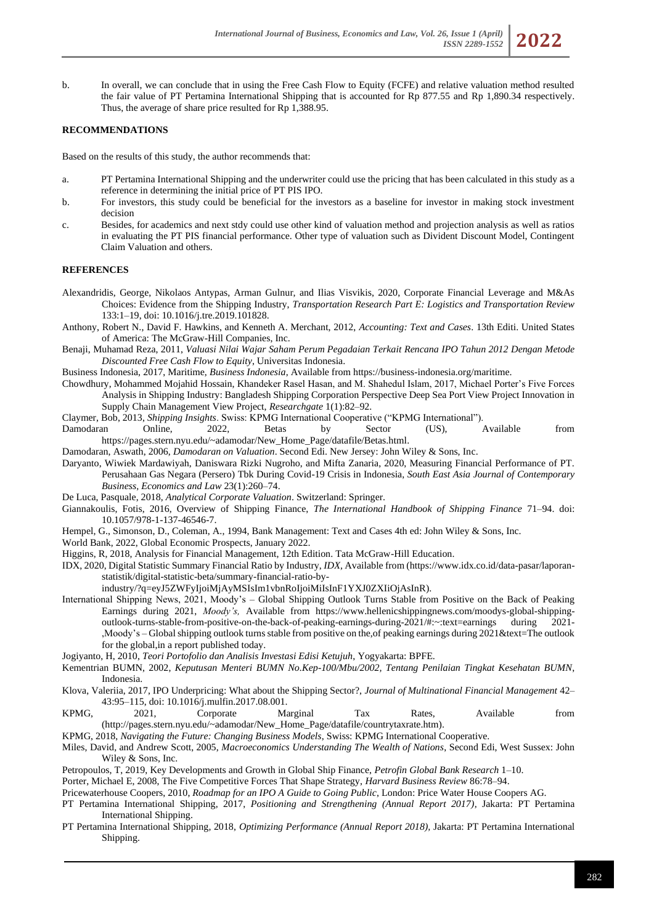b. In overall, we can conclude that in using the Free Cash Flow to Equity (FCFE) and relative valuation method resulted the fair value of PT Pertamina International Shipping that is accounted for Rp 877.55 and Rp 1,890.34 respectively. Thus, the average of share price resulted for Rp 1,388.95.

## **RECOMMENDATIONS**

Based on the results of this study, the author recommends that:

- a. PT Pertamina International Shipping and the underwriter could use the pricing that has been calculated in this study as a reference in determining the initial price of PT PIS IPO.
- b. For investors, this study could be beneficial for the investors as a baseline for investor in making stock investment decision
- c. Besides, for academics and next stdy could use other kind of valuation method and projection analysis as well as ratios in evaluating the PT PIS financial performance. Other type of valuation such as Divident Discount Model, Contingent Claim Valuation and others.

### **REFERENCES**

- Alexandridis, George, Nikolaos Antypas, Arman Gulnur, and Ilias Visvikis, 2020, Corporate Financial Leverage and M&As Choices: Evidence from the Shipping Industry, *Transportation Research Part E: Logistics and Transportation Review* 133:1–19, doi: 10.1016/j.tre.2019.101828.
- Anthony, Robert N., David F. Hawkins, and Kenneth A. Merchant, 2012, *Accounting: Text and Cases*. 13th Editi. United States of America: The McGraw-Hill Companies, Inc.
- Benaji, Muhamad Reza, 2011, *Valuasi Nilai Wajar Saham Perum Pegadaian Terkait Rencana IPO Tahun 2012 Dengan Metode Discounted Free Cash Flow to Equity*, Universitas Indonesia.
- Business Indonesia, 2017, Maritime, *Business Indonesia*, Available from https://business-indonesia.org/maritime.
- Chowdhury, Mohammed Mojahid Hossain, Khandeker Rasel Hasan, and M. Shahedul Islam, 2017, Michael Porter's Five Forces Analysis in Shipping Industry: Bangladesh Shipping Corporation Perspective Deep Sea Port View Project Innovation in Supply Chain Management View Project, *Researchgate* 1(1):82–92.
- Claymer, Bob, 2013, *Shipping Insights*. Swiss: KPMG International Cooperative ("KPMG International").
- Damodaran Online, 2022, Betas by Sector (US), Available from [https://pages.stern.nyu.edu/~adamodar/New\\_Home\\_Page/datafile/Betas.html.](https://pages.stern.nyu.edu/~adamodar/New_Home_Page/datafile/Betas.html)
- Damodaran, Aswath, 2006, *Damodaran on Valuation*. Second Edi. New Jersey: John Wiley & Sons, Inc.
- Daryanto, Wiwiek Mardawiyah, Daniswara Rizki Nugroho, and Mifta Zanaria, 2020, Measuring Financial Performance of PT. Perusahaan Gas Negara (Persero) Tbk During Covid-19 Crisis in Indonesia, *South East Asia Journal of Contemporary Business, Economics and Law* 23(1):260–74.
- De Luca, Pasquale, 2018, *Analytical Corporate Valuation*. Switzerland: Springer.
- Giannakoulis, Fotis, 2016, Overview of Shipping Finance, *The International Handbook of Shipping Finance* 71–94. doi: 10.1057/978-1-137-46546-7.
- Hempel, G., Simonson, D., Coleman, A., 1994, Bank Management: Text and Cases 4th ed: John Wiley & Sons, Inc.
- World Bank, 2022, Global Economic Prospects, January 2022.
- Higgins, R, 2018, Analysis for Financial Management, 12th Edition. Tata McGraw-Hill Education.
- IDX, 2020, Digital Statistic Summary Financial Ratio by Industry, *IDX,* Available from [\(https://www.idx.co.id/data-pasar/laporan](https://www.idx.co.id/data-pasar/laporan-statistik/digital-statistic-beta/summary-financial-ratio-by-industry/?q=eyJ5ZWFyIjoiMjAyMSIsIm1vbnRoIjoiMiIsInF1YXJ0ZXIiOjAsInR)[statistik/digital-statistic-beta/summary-financial-ratio-by](https://www.idx.co.id/data-pasar/laporan-statistik/digital-statistic-beta/summary-financial-ratio-by-industry/?q=eyJ5ZWFyIjoiMjAyMSIsIm1vbnRoIjoiMiIsInF1YXJ0ZXIiOjAsInR)
	- [industry/?q=eyJ5ZWFyIjoiMjAyMSIsIm1vbnRoIjoiMiIsInF1YXJ0ZXIiOjAsInR\)](https://www.idx.co.id/data-pasar/laporan-statistik/digital-statistic-beta/summary-financial-ratio-by-industry/?q=eyJ5ZWFyIjoiMjAyMSIsIm1vbnRoIjoiMiIsInF1YXJ0ZXIiOjAsInR).
- International Shipping News, 2021, Moody's Global Shipping Outlook Turns Stable from Positive on the Back of Peaking Earnings during 2021, *Moody's,* Available from https://www.hellenicshippingnews.com/moodys-global-shippingoutlook-turns-stable-from-positive-on-the-back-of-peaking-earnings-during-2021/#:~:text=earnings during 2021- ,Moody's – Global shipping outlook turns stable from positive on the,of peaking earnings during 2021&text=The outlook for the global,in a report published today.
- Jogiyanto, H, 2010, *Teori Portofolio dan Analisis Investasi Edisi Ketujuh*, Yogyakarta: BPFE.
- Kementrian BUMN, 2002, *Keputusan Menteri BUMN No.Kep-100/Mbu/2002, Tentang Penilaian Tingkat Kesehatan BUMN*, Indonesia.
- Klova, Valeriia, 2017, IPO Underpricing: What about the Shipping Sector?, *Journal of Multinational Financial Management* 42– 43:95–115, doi: 10.1016/j.mulfin.2017.08.001.
- KPMG, 2021, Corporate Marginal Tax Rates, Available from (http://pages.stern.nyu.edu/~adamodar/New\_Home\_Page/datafile/countrytaxrate.htm).
- KPMG, 2018, *Navigating the Future: Changing Business Models*, Swiss: KPMG International Cooperative.
- Miles, David, and Andrew Scott, 2005, *Macroeconomics Understanding The Wealth of Nations*, Second Edi, West Sussex: John Wiley & Sons, Inc.
- Petropoulos, T, 2019, Key Developments and Growth in Global Ship Finance, *Petrofin Global Bank Research* 1–10.
- Porter, Michael E, 2008, The Five Competitive Forces That Shape Strategy, *Harvard Business Review* 86:78–94.
- Pricewaterhouse Coopers, 2010, *Roadmap for an IPO A Guide to Going Public*, London: Price Water House Coopers AG.
- PT Pertamina International Shipping, 2017, *Positioning and Strengthening (Annual Report 2017)*, Jakarta: PT Pertamina International Shipping.
- PT Pertamina International Shipping, 2018, *Optimizing Performance (Annual Report 2018),* Jakarta: PT Pertamina International Shipping.